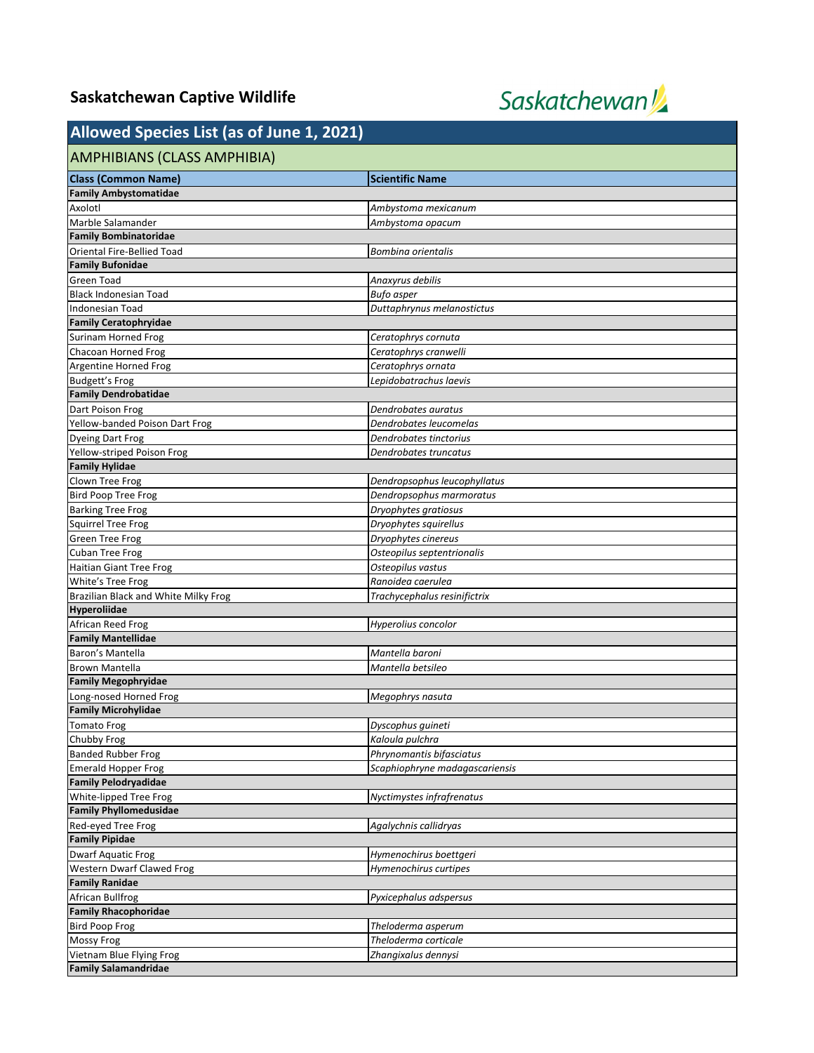## **Saskatchewan Captive Wildlife**



## **Allowed Species List (as of June 1, 2021)**

| $1.0011$ and the special contract $(4.0011)$ and $(4.0011)$ |                                |
|-------------------------------------------------------------|--------------------------------|
| AMPHIBIANS (CLASS AMPHIBIA)                                 |                                |
| <b>Class (Common Name)</b>                                  | <b>Scientific Name</b>         |
| <b>Family Ambystomatidae</b>                                |                                |
| Axolotl                                                     | Ambystoma mexicanum            |
| Marble Salamander                                           | Ambystoma opacum               |
| <b>Family Bombinatoridae</b>                                |                                |
| <b>Oriental Fire-Bellied Toad</b>                           | Bombina orientalis             |
| <b>Family Bufonidae</b>                                     |                                |
| Green Toad                                                  | Anaxyrus debilis               |
| <b>Black Indonesian Toad</b>                                | <b>Bufo</b> asper              |
| Indonesian Toad                                             | Duttaphrynus melanostictus     |
| <b>Family Ceratophryidae</b>                                |                                |
| Surinam Horned Frog                                         | Ceratophrys cornuta            |
| Chacoan Horned Frog                                         | Ceratophrys cranwelli          |
| Argentine Horned Frog                                       | Ceratophrys ornata             |
| <b>Budgett's Frog</b>                                       | Lepidobatrachus laevis         |
| <b>Family Dendrobatidae</b>                                 |                                |
| Dart Poison Frog                                            | Dendrobates auratus            |
| Yellow-banded Poison Dart Frog                              | Dendrobates leucomelas         |
| <b>Dyeing Dart Frog</b>                                     | Dendrobates tinctorius         |
| Yellow-striped Poison Frog                                  | Dendrobates truncatus          |
| <b>Family Hylidae</b>                                       |                                |
| Clown Tree Frog                                             | Dendropsophus leucophyllatus   |
| <b>Bird Poop Tree Frog</b>                                  | Dendropsophus marmoratus       |
| <b>Barking Tree Frog</b>                                    | Dryophytes gratiosus           |
| <b>Squirrel Tree Frog</b>                                   | Dryophytes squirellus          |
| <b>Green Tree Frog</b>                                      | Dryophytes cinereus            |
| <b>Cuban Tree Frog</b>                                      | Osteopilus septentrionalis     |
| <b>Haitian Giant Tree Frog</b>                              | Osteopilus vastus              |
| White's Tree Frog                                           | Ranoidea caerulea              |
| Brazilian Black and White Milky Frog                        | Trachycephalus resinifictrix   |
| Hyperoliidae                                                |                                |
| African Reed Frog                                           | Hyperolius concolor            |
| <b>Family Mantellidae</b>                                   |                                |
| Baron's Mantella                                            | Mantella baroni                |
| <b>Brown Mantella</b>                                       | Mantella betsileo              |
| <b>Family Megophryidae</b>                                  |                                |
| Long-nosed Horned Frog                                      | Megophrys nasuta               |
| <b>Family Microhylidae</b>                                  |                                |
| <b>Tomato Frog</b>                                          | Dyscophus quineti              |
| Chubby Frog                                                 | Kaloula pulchra                |
| <b>Banded Rubber Frog</b>                                   | Phrynomantis bifasciatus       |
| <b>Emerald Hopper Frog</b>                                  | Scaphiophryne madagascariensis |
| <b>Family Pelodryadidae</b>                                 |                                |
| White-lipped Tree Frog                                      | Nyctimystes infrafrenatus      |
| <b>Family Phyllomedusidae</b>                               |                                |
| Red-eyed Tree Frog                                          | Agalychnis callidryas          |
| <b>Family Pipidae</b>                                       |                                |
| <b>Dwarf Aquatic Frog</b>                                   | Hymenochirus boettgeri         |
| Western Dwarf Clawed Frog                                   | Hymenochirus curtipes          |
| <b>Family Ranidae</b>                                       |                                |
| African Bullfrog                                            | Pyxicephalus adspersus         |
| <b>Family Rhacophoridae</b>                                 |                                |
| <b>Bird Poop Frog</b>                                       | Theloderma asperum             |
| Mossy Frog                                                  | Theloderma corticale           |
| Vietnam Blue Flying Frog                                    | Zhangixalus dennysi            |
| <b>Family Salamandridae</b>                                 |                                |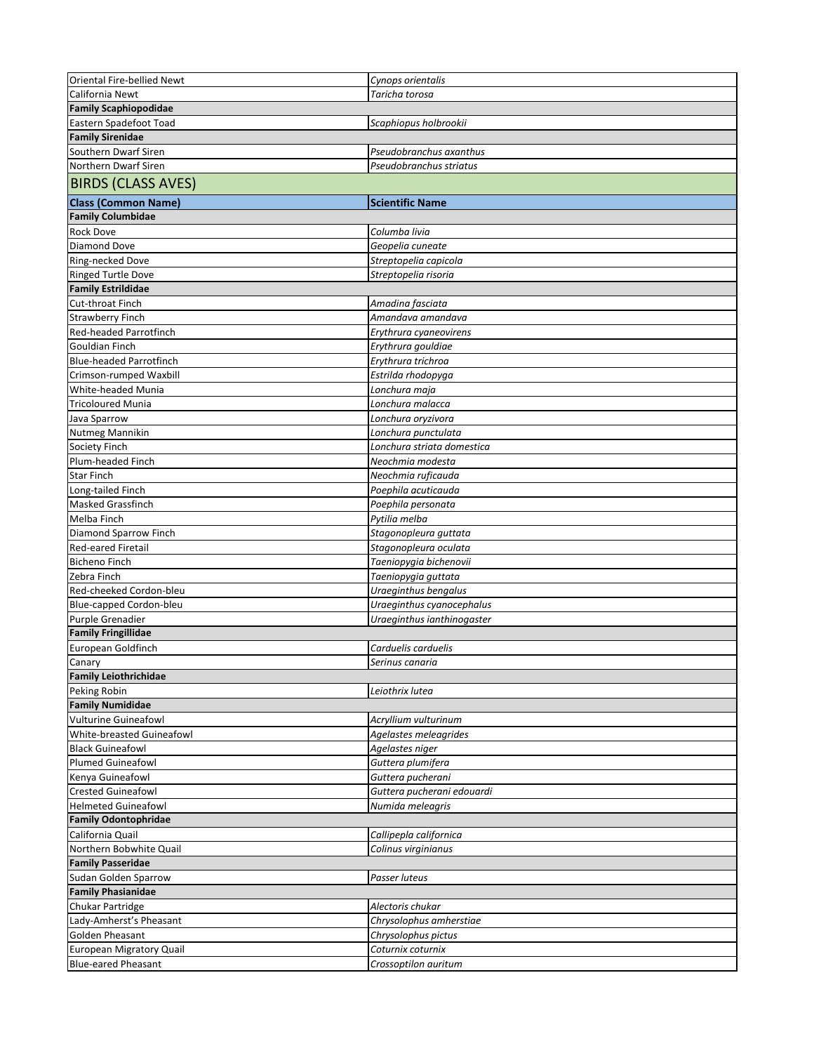| Oriental Fire-bellied Newt                      | Cynops orientalis                             |
|-------------------------------------------------|-----------------------------------------------|
| California Newt                                 | Taricha torosa                                |
| <b>Family Scaphiopodidae</b>                    |                                               |
| Eastern Spadefoot Toad                          | Scaphiopus holbrookii                         |
| <b>Family Sirenidae</b>                         |                                               |
| Southern Dwarf Siren                            | Pseudobranchus axanthus                       |
| Northern Dwarf Siren                            | Pseudobranchus striatus                       |
| <b>BIRDS (CLASS AVES)</b>                       |                                               |
| <b>Class (Common Name)</b>                      | <b>Scientific Name</b>                        |
| <b>Family Columbidae</b>                        |                                               |
|                                                 | Columba livia                                 |
| Rock Dove                                       |                                               |
| Diamond Dove                                    | Geopelia cuneate                              |
| Ring-necked Dove<br><b>Ringed Turtle Dove</b>   | Streptopelia capicola<br>Streptopelia risoria |
| <b>Family Estrildidae</b>                       |                                               |
| Cut-throat Finch                                |                                               |
|                                                 | Amadina fasciata                              |
| <b>Strawberry Finch</b>                         | Amandava amandava                             |
| Red-headed Parrotfinch<br><b>Gouldian Finch</b> | Erythrura cyaneovirens                        |
| <b>Blue-headed Parrotfinch</b>                  | Erythrura gouldiae<br>Erythrura trichroa      |
| Crimson-rumped Waxbill                          |                                               |
| White-headed Munia                              | Estrilda rhodopyga                            |
| <b>Tricoloured Munia</b>                        | Lonchura maja<br>Lonchura malacca             |
|                                                 |                                               |
| Java Sparrow                                    | Lonchura oryzivora<br>Lonchura punctulata     |
| Nutmeg Mannikin                                 |                                               |
| Society Finch                                   | Lonchura striata domestica                    |
| Plum-headed Finch<br><b>Star Finch</b>          | Neochmia modesta<br>Neochmia ruficauda        |
| Long-tailed Finch                               | Poephila acuticauda                           |
| Masked Grassfinch                               | Poephila personata                            |
| Melba Finch                                     | Pytilia melba                                 |
| Diamond Sparrow Finch                           | Stagonopleura guttata                         |
| <b>Red-eared Firetail</b>                       | Stagonopleura oculata                         |
| <b>Bicheno Finch</b>                            | Taeniopygia bichenovii                        |
| Zebra Finch                                     | Taeniopygia guttata                           |
| Red-cheeked Cordon-bleu                         | Uraeginthus bengalus                          |
| Blue-capped Cordon-bleu                         | Uraeginthus cyanocephalus                     |
| Purple Grenadier                                | Uraeginthus ianthinogaster                    |
| <b>Family Fringillidae</b>                      |                                               |
| European Goldfinch                              | Carduelis carduelis                           |
| Canary                                          | Serinus canaria                               |
| <b>Family Leiothrichidae</b>                    |                                               |
| Peking Robin                                    | Leiothrix lutea                               |
| <b>Family Numididae</b>                         |                                               |
| <b>Vulturine Guineafowl</b>                     | Acryllium vulturinum                          |
| White-breasted Guineafowl                       | Agelastes meleagrides                         |
| <b>Black Guineafowl</b>                         | Agelastes niger                               |
| <b>Plumed Guineafowl</b>                        | Guttera plumifera                             |
| Kenya Guineafowl                                | Guttera pucherani                             |
| <b>Crested Guineafowl</b>                       | Guttera pucherani edouardi                    |
| <b>Helmeted Guineafowl</b>                      | Numida meleagris                              |
| <b>Family Odontophridae</b>                     |                                               |
| California Quail                                | Callipepla californica                        |
| Northern Bobwhite Quail                         | Colinus virginianus                           |
| <b>Family Passeridae</b>                        |                                               |
| Sudan Golden Sparrow                            | Passer luteus                                 |
| <b>Family Phasianidae</b>                       |                                               |
| Chukar Partridge                                | Alectoris chukar                              |
| Lady-Amherst's Pheasant                         | Chrysolophus amherstiae                       |
| Golden Pheasant                                 | Chrysolophus pictus                           |
| <b>European Migratory Quail</b>                 | Coturnix coturnix                             |
| <b>Blue-eared Pheasant</b>                      | Crossoptilon auritum                          |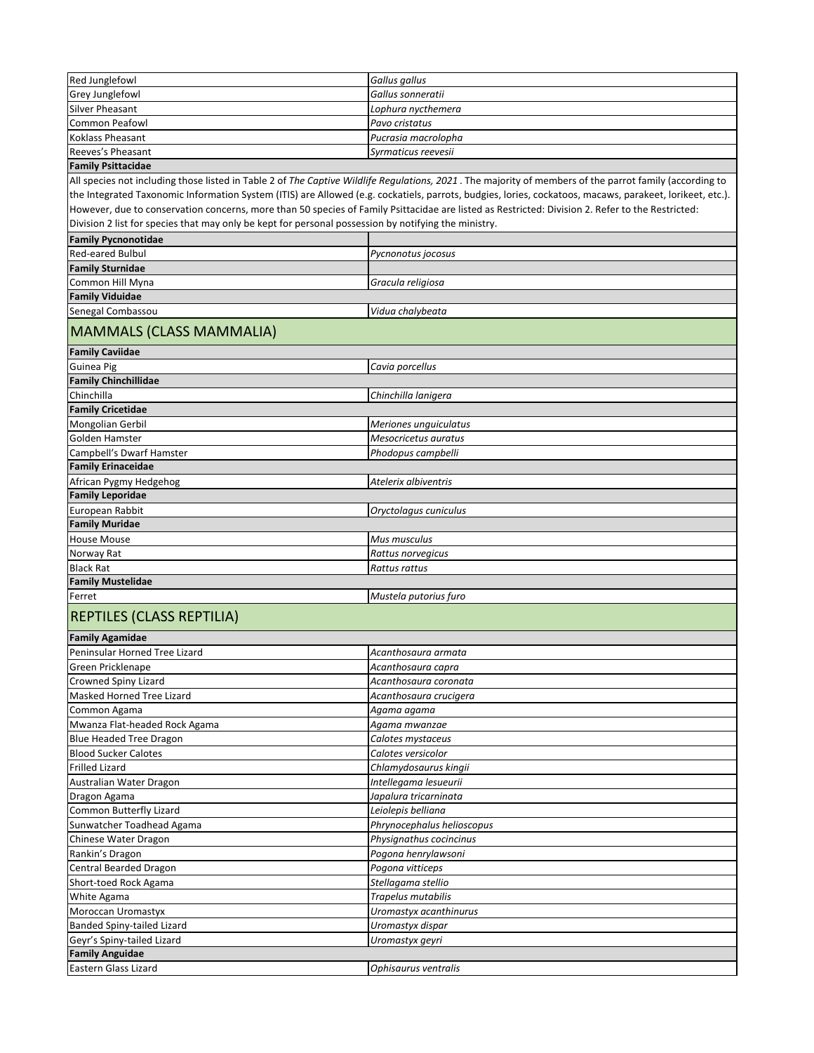| Red Junglefowl    | Gallus gallus       |
|-------------------|---------------------|
| Grey Junglefowl   | Gallus sonneratii   |
| Silver Pheasant   | Lophura nycthemera  |
| Common Peafowl    | Pavo cristatus      |
| Koklass Pheasant  | Pucrasia macrolopha |
| Reeves's Pheasant | Syrmaticus reevesii |
|                   |                     |

## **Family Psittacidae**

All species not including those listed in Table 2 of *The Captive Wildlife Regulations, 2021* . The majority of members of the parrot family (according to the Integrated Taxonomic Information System (ITIS) are Allowed (e.g. cockatiels, parrots, budgies, lories, cockatoos, macaws, parakeet, lorikeet, etc.). However, due to conservation concerns, more than 50 species of Family Psittacidae are listed as Restricted: Division 2. Refer to the Restricted: Division 2 list for species that may only be kept for personal possession by notifying the ministry.

| <b>Family Pycnonotidae</b>                      |                                                 |
|-------------------------------------------------|-------------------------------------------------|
| Red-eared Bulbul                                | Pycnonotus jocosus                              |
| <b>Family Sturnidae</b>                         |                                                 |
| Common Hill Myna                                | Gracula religiosa                               |
| <b>Family Viduidae</b>                          |                                                 |
| Senegal Combassou                               | Vidua chalybeata                                |
| <b>MAMMALS (CLASS MAMMALIA)</b>                 |                                                 |
| <b>Family Caviidae</b>                          |                                                 |
| Guinea Pig                                      | Cavia porcellus                                 |
| <b>Family Chinchillidae</b>                     |                                                 |
| Chinchilla                                      | Chinchilla lanigera                             |
| <b>Family Cricetidae</b>                        |                                                 |
| Mongolian Gerbil                                | Meriones unguiculatus                           |
| Golden Hamster                                  | Mesocricetus auratus                            |
| Campbell's Dwarf Hamster                        | Phodopus campbelli                              |
| <b>Family Erinaceidae</b>                       |                                                 |
| African Pygmy Hedgehog                          | Atelerix albiventris                            |
| <b>Family Leporidae</b>                         |                                                 |
| European Rabbit                                 | Oryctolagus cuniculus                           |
| <b>Family Muridae</b>                           |                                                 |
| <b>House Mouse</b>                              | Mus musculus                                    |
| Norway Rat                                      | Rattus norvegicus                               |
| <b>Black Rat</b>                                | Rattus rattus                                   |
| <b>Family Mustelidae</b>                        |                                                 |
| Ferret                                          | Mustela putorius furo                           |
| REPTILES (CLASS REPTILIA)                       |                                                 |
| <b>Family Agamidae</b>                          |                                                 |
| Peninsular Horned Tree Lizard                   | Acanthosaura armata                             |
| Green Pricklenape                               |                                                 |
|                                                 | Acanthosaura capra                              |
| Crowned Spiny Lizard                            |                                                 |
| Masked Horned Tree Lizard                       | Acanthosaura coronata<br>Acanthosaura crucigera |
|                                                 | Agama agama                                     |
| Common Agama<br>Mwanza Flat-headed Rock Agama   | Agama mwanzae                                   |
| <b>Blue Headed Tree Dragon</b>                  | Calotes mystaceus                               |
| <b>Blood Sucker Calotes</b>                     | Calotes versicolor                              |
| <b>Frilled Lizard</b>                           | Chlamydosaurus kingii                           |
|                                                 | Intellegama lesueurii                           |
| Australian Water Dragon                         | Japalura tricarninata                           |
| Dragon Agama<br>Common Butterfly Lizard         | Leiolepis belliana                              |
| Sunwatcher Toadhead Agama                       | Phrynocephalus helioscopus                      |
| Chinese Water Dragon                            | Physignathus cocincinus                         |
| Rankin's Dragon                                 | Pogona henrylawsoni                             |
|                                                 | Pogona vitticeps                                |
| Central Bearded Dragon<br>Short-toed Rock Agama |                                                 |
| White Agama                                     | Stellagama stellio<br>Trapelus mutabilis        |

Banded Spiny-tailed Lizard *Uromastyx dispar* Geyr's Spiny-tailed Lizard *Uromastyx geyri*

**Family Anguidae**

Eastern Glass Lizard *Ophisaurus ventralis*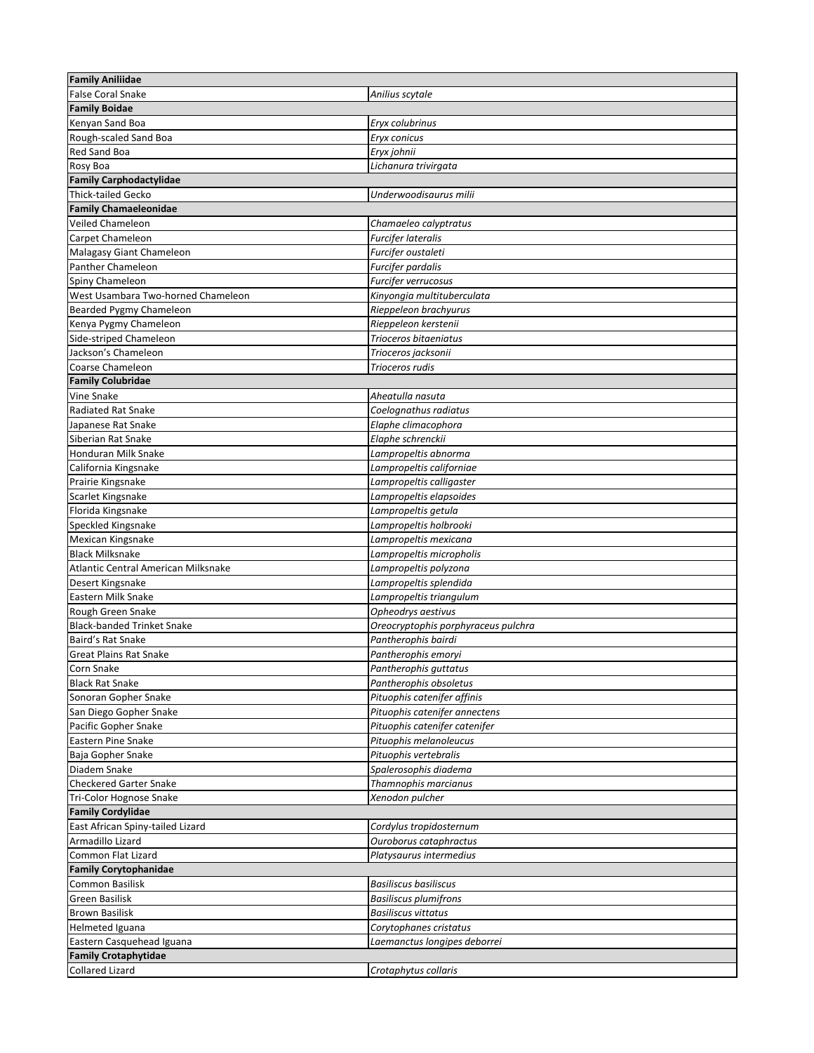| <b>Family Aniliidae</b>             |                                                            |
|-------------------------------------|------------------------------------------------------------|
| <b>False Coral Snake</b>            | Anilius scytale                                            |
| <b>Family Boidae</b>                |                                                            |
| Kenyan Sand Boa                     | Eryx colubrinus                                            |
| Rough-scaled Sand Boa               | Eryx conicus                                               |
| Red Sand Boa                        | Eryx johnii                                                |
| Rosy Boa                            | Lichanura trivirgata                                       |
| <b>Family Carphodactylidae</b>      |                                                            |
| <b>Thick-tailed Gecko</b>           | Underwoodisaurus milii                                     |
| <b>Family Chamaeleonidae</b>        |                                                            |
| Veiled Chameleon                    | Chamaeleo calyptratus                                      |
| Carpet Chameleon                    | Furcifer lateralis                                         |
| Malagasy Giant Chameleon            | Furcifer oustaleti                                         |
| Panther Chameleon                   | Furcifer pardalis                                          |
| Spiny Chameleon                     | Furcifer verrucosus                                        |
| West Usambara Two-horned Chameleon  | Kinyongia multituberculata                                 |
| Bearded Pygmy Chameleon             | Rieppeleon brachyurus                                      |
| Kenya Pygmy Chameleon               | Rieppeleon kerstenii                                       |
| Side-striped Chameleon              | Trioceros bitaeniatus                                      |
| Jackson's Chameleon                 | Trioceros jacksonii                                        |
| Coarse Chameleon                    | Trioceros rudis                                            |
| <b>Family Colubridae</b>            |                                                            |
| Vine Snake                          | Aheatulla nasuta                                           |
| <b>Radiated Rat Snake</b>           | Coelognathus radiatus                                      |
| Japanese Rat Snake                  | Elaphe climacophora                                        |
| Siberian Rat Snake                  | Elaphe schrenckii                                          |
| Honduran Milk Snake                 | Lampropeltis abnorma                                       |
| California Kingsnake                | Lampropeltis californiae                                   |
| Prairie Kingsnake                   | Lampropeltis calligaster                                   |
| Scarlet Kingsnake                   | Lampropeltis elapsoides                                    |
| Florida Kingsnake                   | Lampropeltis getula                                        |
| Speckled Kingsnake                  | Lampropeltis holbrooki                                     |
| Mexican Kingsnake                   | Lampropeltis mexicana                                      |
| <b>Black Milksnake</b>              | Lampropeltis micropholis                                   |
| Atlantic Central American Milksnake | Lampropeltis polyzona                                      |
| Desert Kingsnake                    | Lampropeltis splendida                                     |
| Eastern Milk Snake                  | Lampropeltis triangulum                                    |
| Rough Green Snake                   | Opheodrys aestivus                                         |
| <b>Black-banded Trinket Snake</b>   | Oreocryptophis porphyraceus pulchra                        |
| Baird's Rat Snake                   | Pantherophis bairdi                                        |
| <b>Great Plains Rat Snake</b>       | Pantherophis emoryi                                        |
| Corn Snake                          | Pantherophis guttatus                                      |
| <b>Black Rat Snake</b>              | Pantherophis obsoletus                                     |
| Sonoran Gopher Snake                | Pituophis catenifer affinis                                |
| San Diego Gopher Snake              | Pituophis catenifer annectens                              |
| Pacific Gopher Snake                | Pituophis catenifer catenifer                              |
| <b>Eastern Pine Snake</b>           | Pituophis melanoleucus                                     |
| Baja Gopher Snake                   | Pituophis vertebralis                                      |
| Diadem Snake                        | Spalerosophis diadema                                      |
| <b>Checkered Garter Snake</b>       | Thamnophis marcianus                                       |
| Tri-Color Hognose Snake             | Xenodon pulcher                                            |
| <b>Family Cordylidae</b>            |                                                            |
| East African Spiny-tailed Lizard    | Cordylus tropidosternum                                    |
| Armadillo Lizard                    | Ouroborus cataphractus                                     |
|                                     |                                                            |
| Common Flat Lizard                  | Platysaurus intermedius                                    |
| <b>Family Corytophanidae</b>        |                                                            |
| Common Basilisk                     | Basiliscus basiliscus                                      |
| Green Basilisk                      | <b>Basiliscus plumifrons</b><br><b>Basiliscus vittatus</b> |
| <b>Brown Basilisk</b>               |                                                            |
| Helmeted Iguana                     | Corytophanes cristatus                                     |
| Eastern Casquehead Iguana           | Laemanctus longipes deborrei                               |
| <b>Family Crotaphytidae</b>         |                                                            |
| <b>Collared Lizard</b>              | Crotaphytus collaris                                       |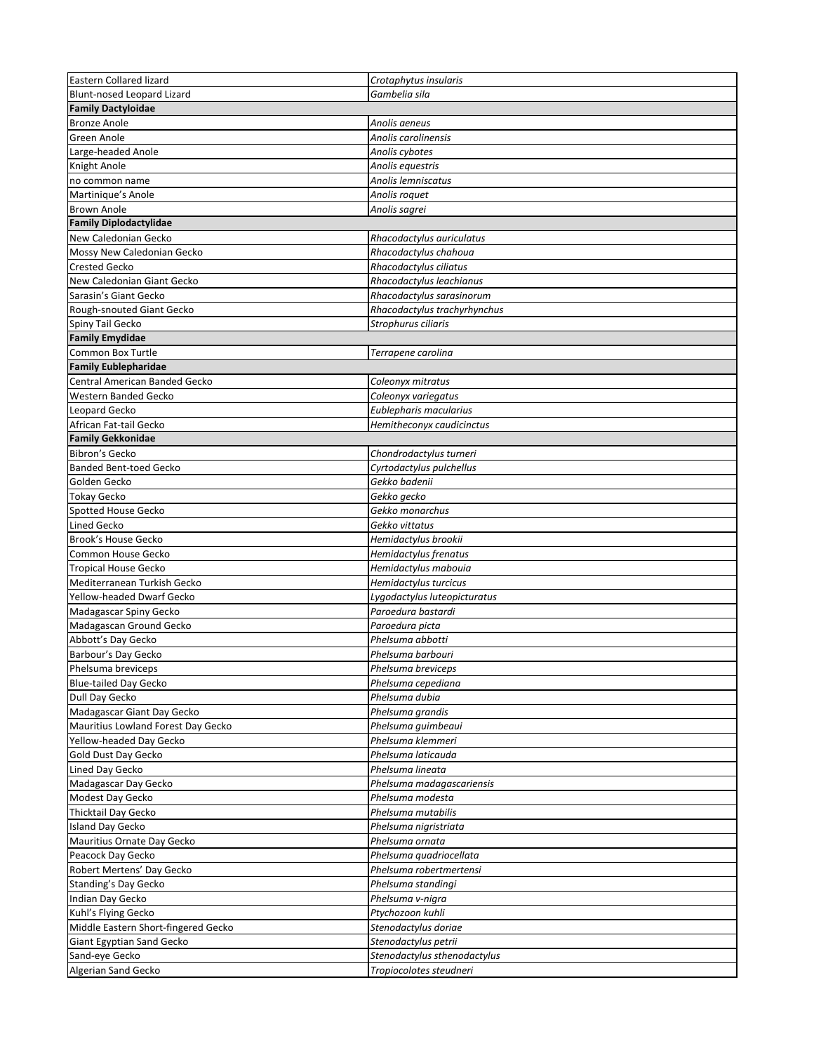| Eastern Collared lizard             | Crotaphytus insularis                     |
|-------------------------------------|-------------------------------------------|
| Blunt-nosed Leopard Lizard          | Gambelia sila                             |
| <b>Family Dactyloidae</b>           |                                           |
| <b>Bronze Anole</b>                 | Anolis aeneus                             |
| Green Anole                         | Anolis carolinensis                       |
| Large-headed Anole                  | Anolis cybotes                            |
| Knight Anole                        | Anolis equestris                          |
| no common name                      | Anolis lemniscatus                        |
| Martinique's Anole                  | Anolis roquet                             |
| <b>Brown Anole</b>                  | Anolis sagrei                             |
| <b>Family Diplodactylidae</b>       |                                           |
| New Caledonian Gecko                | Rhacodactylus auriculatus                 |
| Mossy New Caledonian Gecko          | Rhacodactylus chahoua                     |
| <b>Crested Gecko</b>                | Rhacodactylus ciliatus                    |
| New Caledonian Giant Gecko          | Rhacodactylus leachianus                  |
| Sarasin's Giant Gecko               | Rhacodactylus sarasinorum                 |
| Rough-snouted Giant Gecko           | Rhacodactylus trachyrhynchus              |
| Spiny Tail Gecko                    | Strophurus ciliaris                       |
| <b>Family Emydidae</b>              |                                           |
| Common Box Turtle                   | Terrapene carolina                        |
| <b>Family Eublepharidae</b>         |                                           |
| Central American Banded Gecko       | Coleonyx mitratus                         |
| Western Banded Gecko                | Coleonyx variegatus                       |
| Leopard Gecko                       | Eublepharis macularius                    |
| African Fat-tail Gecko              | Hemitheconyx caudicinctus                 |
| <b>Family Gekkonidae</b>            |                                           |
| Bibron's Gecko                      |                                           |
| <b>Banded Bent-toed Gecko</b>       | Chondrodactylus turneri                   |
| Golden Gecko                        | Cyrtodactylus pulchellus<br>Gekko badenii |
|                                     |                                           |
| <b>Tokay Gecko</b>                  | Gekko gecko                               |
| Spotted House Gecko                 | Gekko monarchus                           |
| Lined Gecko                         | Gekko vittatus                            |
| Brook's House Gecko                 | Hemidactylus brookii                      |
| Common House Gecko                  | Hemidactylus frenatus                     |
| <b>Tropical House Gecko</b>         | Hemidactylus mabouia                      |
| Mediterranean Turkish Gecko         | Hemidactylus turcicus                     |
| Yellow-headed Dwarf Gecko           | Lygodactylus luteopicturatus              |
| Madagascar Spiny Gecko              | Paroedura bastardi                        |
| Madagascan Ground Gecko             | Paroedura picta                           |
| Abbott's Day Gecko                  | Phelsuma abbotti                          |
| Barbour's Day Gecko                 | Phelsuma barbouri                         |
| Phelsuma breviceps                  | Phelsuma breviceps                        |
| <b>Blue-tailed Day Gecko</b>        | Phelsuma cepediana                        |
| Dull Day Gecko                      | Phelsuma dubia                            |
| Madagascar Giant Day Gecko          | Phelsuma grandis                          |
| Mauritius Lowland Forest Day Gecko  | Phelsuma guimbeaui                        |
| Yellow-headed Day Gecko             | Phelsuma klemmeri                         |
| Gold Dust Day Gecko                 | Phelsuma laticauda                        |
| Lined Day Gecko                     | Phelsuma lineata                          |
| Madagascar Day Gecko                | Phelsuma madagascariensis                 |
| Modest Day Gecko                    | Phelsuma modesta                          |
| <b>Thicktail Day Gecko</b>          | Phelsuma mutabilis                        |
| <b>Island Day Gecko</b>             | Phelsuma nigristriata                     |
| Mauritius Ornate Day Gecko          | Phelsuma ornata                           |
| Peacock Day Gecko                   | Phelsuma quadriocellata                   |
| Robert Mertens' Day Gecko           | Phelsuma robertmertensi                   |
| Standing's Day Gecko                | Phelsuma standingi                        |
| Indian Day Gecko                    | Phelsuma v-nigra                          |
| Kuhl's Flying Gecko                 | Ptychozoon kuhli                          |
| Middle Eastern Short-fingered Gecko | Stenodactylus doriae                      |
| Giant Egyptian Sand Gecko           | Stenodactylus petrii                      |
| Sand-eye Gecko                      | Stenodactylus sthenodactylus              |
| Algerian Sand Gecko                 | Tropiocolotes steudneri                   |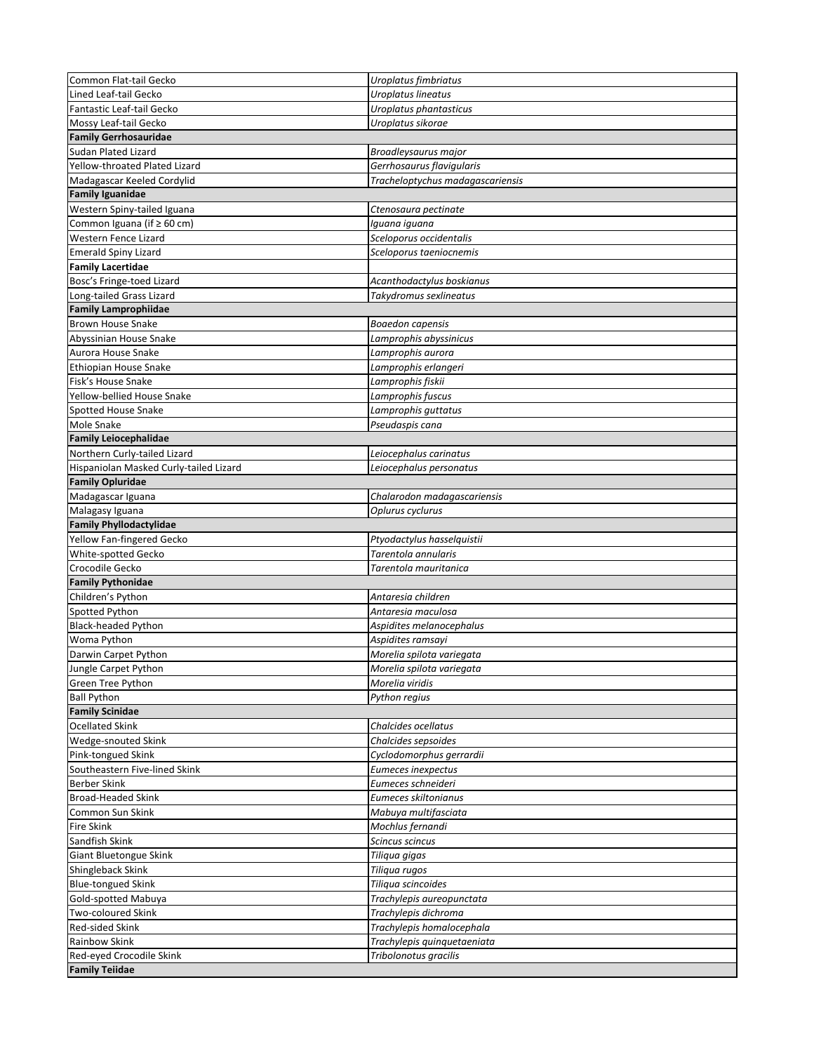| Common Flat-tail Gecko                            | Uroplatus fimbriatus             |  |
|---------------------------------------------------|----------------------------------|--|
| Lined Leaf-tail Gecko                             | Uroplatus lineatus               |  |
| Fantastic Leaf-tail Gecko                         | Uroplatus phantasticus           |  |
| Mossy Leaf-tail Gecko                             | Uroplatus sikorae                |  |
| <b>Family Gerrhosauridae</b>                      |                                  |  |
| <b>Sudan Plated Lizard</b>                        | Broadleysaurus major             |  |
| Yellow-throated Plated Lizard                     | Gerrhosaurus flavigularis        |  |
| Madagascar Keeled Cordylid                        | Tracheloptychus madagascariensis |  |
| <b>Family Iguanidae</b>                           |                                  |  |
| Western Spiny-tailed Iguana                       | Ctenosaura pectinate             |  |
| Common Iguana (if ≥ 60 cm)                        | Iguana iguana                    |  |
| Western Fence Lizard                              | Sceloporus occidentalis          |  |
| <b>Emerald Spiny Lizard</b>                       | Sceloporus taeniocnemis          |  |
| <b>Family Lacertidae</b>                          |                                  |  |
| Bosc's Fringe-toed Lizard                         | Acanthodactylus boskianus        |  |
| Long-tailed Grass Lizard                          | Takydromus sexlineatus           |  |
| <b>Family Lamprophiidae</b>                       |                                  |  |
| <b>Brown House Snake</b>                          | Boaedon capensis                 |  |
| Abyssinian House Snake                            | Lamprophis abyssinicus           |  |
| Aurora House Snake                                | Lamprophis aurora                |  |
| Ethiopian House Snake                             | Lamprophis erlangeri             |  |
| Fisk's House Snake                                | Lamprophis fiskii                |  |
| Yellow-bellied House Snake                        | Lamprophis fuscus                |  |
| <b>Spotted House Snake</b>                        | Lamprophis guttatus              |  |
| Mole Snake                                        | Pseudaspis cana                  |  |
| <b>Family Leiocephalidae</b>                      |                                  |  |
| Northern Curly-tailed Lizard                      | Leiocephalus carinatus           |  |
| Hispaniolan Masked Curly-tailed Lizard            | Leiocephalus personatus          |  |
| <b>Family Opluridae</b>                           |                                  |  |
| Madagascar Iguana                                 | Chalarodon madagascariensis      |  |
| Malagasy Iguana                                   | Oplurus cyclurus                 |  |
| <b>Family Phyllodactylidae</b>                    |                                  |  |
| Yellow Fan-fingered Gecko                         | Ptyodactylus hasselquistii       |  |
| White-spotted Gecko                               | Tarentola annularis              |  |
| Crocodile Gecko                                   | Tarentola mauritanica            |  |
|                                                   |                                  |  |
|                                                   |                                  |  |
| <b>Family Pythonidae</b>                          |                                  |  |
| Children's Python                                 | Antaresia children               |  |
| Spotted Python                                    | Antaresia maculosa               |  |
| <b>Black-headed Python</b>                        | Aspidites melanocephalus         |  |
| Woma Python                                       | Aspidites ramsayi                |  |
| Darwin Carpet Python                              | Morelia spilota variegata        |  |
| Jungle Carpet Python                              | Morelia spilota variegata        |  |
| Green Tree Python                                 | Morelia viridis                  |  |
| <b>Ball Python</b>                                | Python regius                    |  |
| <b>Family Scinidae</b>                            |                                  |  |
| <b>Ocellated Skink</b>                            | Chalcides ocellatus              |  |
| Wedge-snouted Skink                               | Chalcides sepsoides              |  |
| Pink-tongued Skink                                | Cyclodomorphus gerrardii         |  |
| Southeastern Five-lined Skink                     | Eumeces inexpectus               |  |
| Berber Skink                                      | Eumeces schneideri               |  |
| <b>Broad-Headed Skink</b>                         | Eumeces skiltonianus             |  |
| Common Sun Skink                                  | Mabuya multifasciata             |  |
| <b>Fire Skink</b>                                 | Mochlus fernandi                 |  |
| Sandfish Skink                                    | Scincus scincus                  |  |
| Giant Bluetongue Skink                            | Tiliqua gigas                    |  |
| Shingleback Skink                                 | Tiliqua rugos                    |  |
| <b>Blue-tongued Skink</b>                         | Tiliqua scincoides               |  |
| Gold-spotted Mabuya                               | Trachylepis aureopunctata        |  |
| Two-coloured Skink                                | Trachylepis dichroma             |  |
| Red-sided Skink                                   | Trachylepis homalocephala        |  |
| Rainbow Skink                                     | Trachylepis quinquetaeniata      |  |
| Red-eyed Crocodile Skink<br><b>Family Teiidae</b> | Tribolonotus gracilis            |  |